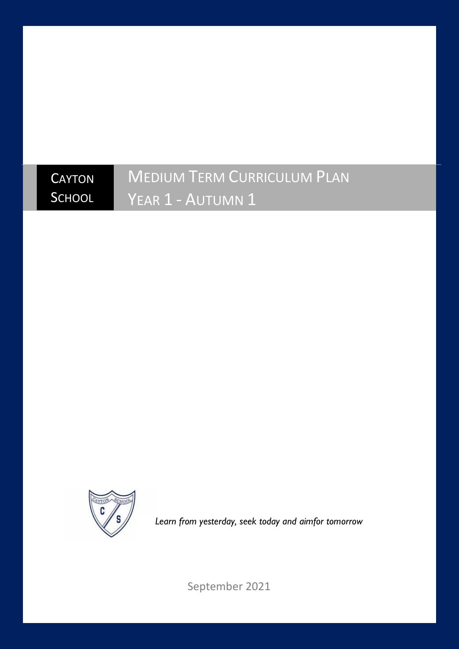## **CAYTON SCHOOL** MEDIUM TERM CURRICULUM PLAN YEAR 1 - AUTUMN 1



*Learn from yesterday, seek today and aimfor tomorrow*

September 2021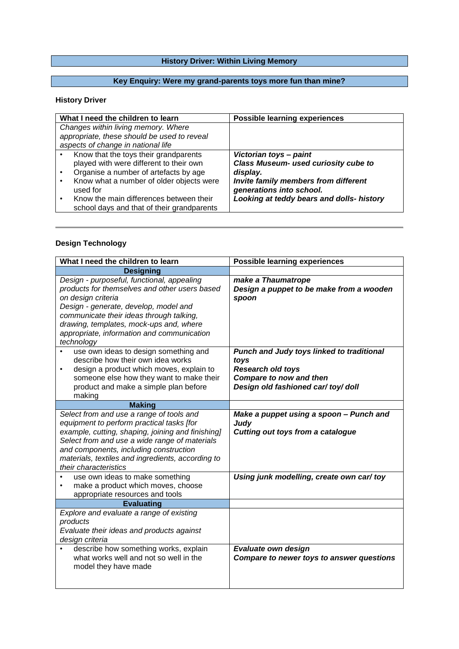# **History Driver: Within Living Memory**

# **Key Enquiry: Were my grand-parents toys more fun than mine?**

#### **History Driver**

| What I need the children to learn                                                     | <b>Possible learning experiences</b>                             |
|---------------------------------------------------------------------------------------|------------------------------------------------------------------|
| Changes within living memory. Where                                                   |                                                                  |
| appropriate, these should be used to reveal                                           |                                                                  |
| aspects of change in national life                                                    |                                                                  |
| Know that the toys their grandparents                                                 | Victorian toys - paint                                           |
| played with were different to their own                                               | Class Museum- used curiosity cube to                             |
| Organise a number of artefacts by age                                                 | display.                                                         |
| Know what a number of older objects were<br>used for                                  | Invite family members from different<br>generations into school. |
| Know the main differences between their<br>school days and that of their grandparents | Looking at teddy bears and dolls- history                        |

## **Design Technology**

| What I need the children to learn                                                                                                                                                                                                                                                                                   | <b>Possible learning experiences</b>                                                                                                            |
|---------------------------------------------------------------------------------------------------------------------------------------------------------------------------------------------------------------------------------------------------------------------------------------------------------------------|-------------------------------------------------------------------------------------------------------------------------------------------------|
| <b>Designing</b>                                                                                                                                                                                                                                                                                                    |                                                                                                                                                 |
| Design - purposeful, functional, appealing<br>products for themselves and other users based<br>on design criteria<br>Design - generate, develop, model and<br>communicate their ideas through talking,<br>drawing, templates, mock-ups and, where<br>appropriate, information and communication<br>technology       | make a Thaumatrope<br>Design a puppet to be make from a wooden<br>spoon                                                                         |
| use own ideas to design something and<br>$\bullet$<br>describe how their own idea works<br>design a product which moves, explain to<br>$\bullet$<br>someone else how they want to make their<br>product and make a simple plan before<br>making                                                                     | Punch and Judy toys linked to traditional<br>toys<br>Research old toys<br><b>Compare to now and then</b><br>Design old fashioned car/ toy/ doll |
| <b>Making</b>                                                                                                                                                                                                                                                                                                       |                                                                                                                                                 |
| Select from and use a range of tools and<br>equipment to perform practical tasks [for<br>example, cutting, shaping, joining and finishing]<br>Select from and use a wide range of materials<br>and components, including construction<br>materials, textiles and ingredients, according to<br>their characteristics | Make a puppet using a spoon - Punch and<br>Judy<br><b>Cutting out toys from a catalogue</b>                                                     |
| use own ideas to make something<br>make a product which moves, choose<br>appropriate resources and tools                                                                                                                                                                                                            | Using junk modelling, create own car/ toy                                                                                                       |
| <b>Evaluating</b>                                                                                                                                                                                                                                                                                                   |                                                                                                                                                 |
| Explore and evaluate a range of existing<br>products<br>Evaluate their ideas and products against<br>design criteria                                                                                                                                                                                                |                                                                                                                                                 |
| describe how something works, explain<br>what works well and not so well in the<br>model they have made                                                                                                                                                                                                             | Evaluate own design<br>Compare to newer toys to answer questions                                                                                |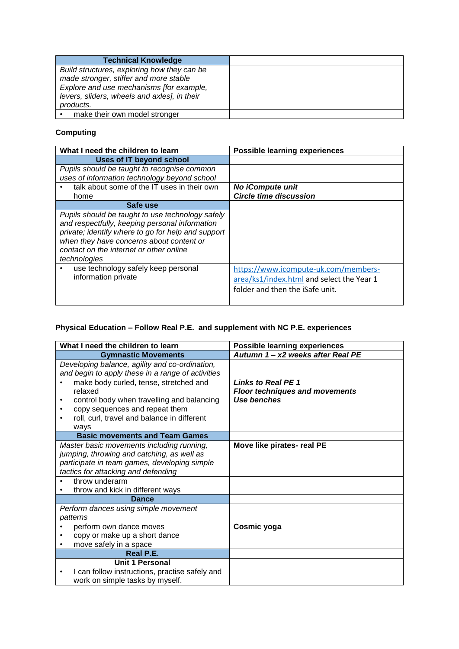| <b>Technical Knowledge</b>                   |  |
|----------------------------------------------|--|
| Build structures, exploring how they can be  |  |
| made stronger, stiffer and more stable       |  |
| Explore and use mechanisms [for example,     |  |
| levers, sliders, wheels and axles], in their |  |
| products.                                    |  |
| make their own model stronger                |  |

# **Computing**

| What I need the children to learn                                                                                                                                                                                                                               | <b>Possible learning experiences</b>                                                                                 |
|-----------------------------------------------------------------------------------------------------------------------------------------------------------------------------------------------------------------------------------------------------------------|----------------------------------------------------------------------------------------------------------------------|
| Uses of IT beyond school                                                                                                                                                                                                                                        |                                                                                                                      |
| Pupils should be taught to recognise common                                                                                                                                                                                                                     |                                                                                                                      |
| uses of information technology beyond school                                                                                                                                                                                                                    |                                                                                                                      |
| talk about some of the IT uses in their own                                                                                                                                                                                                                     | <b>No iCompute unit</b>                                                                                              |
| home                                                                                                                                                                                                                                                            | <b>Circle time discussion</b>                                                                                        |
| Safe use                                                                                                                                                                                                                                                        |                                                                                                                      |
| Pupils should be taught to use technology safely<br>and respectfully, keeping personal information<br>private; identify where to go for help and support<br>when they have concerns about content or<br>contact on the internet or other online<br>technologies |                                                                                                                      |
| use technology safely keep personal<br>information private                                                                                                                                                                                                      | https://www.icompute-uk.com/members-<br>area/ks1/index.html and select the Year 1<br>folder and then the iSafe unit. |

# **Physical Education – Follow Real P.E. and supplement with NC P.E. experiences**

| What I need the children to learn                           | <b>Possible learning experiences</b>  |
|-------------------------------------------------------------|---------------------------------------|
| <b>Gymnastic Movements</b>                                  | Autumn 1 - x2 weeks after Real PE     |
| Developing balance, agility and co-ordination,              |                                       |
| and begin to apply these in a range of activities           |                                       |
| make body curled, tense, stretched and                      | <b>Links to Real PE 1</b>             |
| relaxed                                                     | <b>Floor techniques and movements</b> |
| control body when travelling and balancing<br>٠             | Use benches                           |
| copy sequences and repeat them                              |                                       |
| roll, curl, travel and balance in different                 |                                       |
| ways                                                        |                                       |
| <b>Basic movements and Team Games</b>                       |                                       |
| Master basic movements including running,                   | Move like pirates- real PE            |
| jumping, throwing and catching, as well as                  |                                       |
| participate in team games, developing simple                |                                       |
| tactics for attacking and defending                         |                                       |
| throw underarm<br>$\bullet$                                 |                                       |
| throw and kick in different ways                            |                                       |
| <b>Dance</b>                                                |                                       |
| Perform dances using simple movement                        |                                       |
| patterns                                                    |                                       |
| perform own dance moves                                     | Cosmic yoga                           |
| copy or make up a short dance                               |                                       |
| move safely in a space                                      |                                       |
| Real P.E.                                                   |                                       |
| <b>Unit 1 Personal</b>                                      |                                       |
| I can follow instructions, practise safely and<br>$\bullet$ |                                       |
| work on simple tasks by myself.                             |                                       |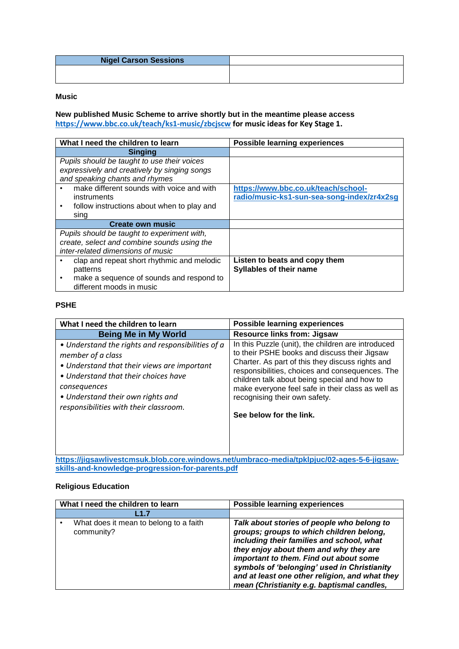| <b>Nigel Carson Sessions</b> |  |
|------------------------------|--|
|                              |  |
|                              |  |

#### **Music**

**New published Music Scheme to arrive shortly but in the meantime please access <https://www.bbc.co.uk/teach/ks1-music/zbcjscw> for music ideas for Key Stage 1.**

| What I need the children to learn                     | <b>Possible learning experiences</b>       |
|-------------------------------------------------------|--------------------------------------------|
| <b>Singing</b>                                        |                                            |
| Pupils should be taught to use their voices           |                                            |
| expressively and creatively by singing songs          |                                            |
| and speaking chants and rhymes                        |                                            |
| make different sounds with voice and with             | https://www.bbc.co.uk/teach/school-        |
| instruments                                           | radio/music-ks1-sun-sea-song-index/zr4x2sg |
| follow instructions about when to play and            |                                            |
| sing                                                  |                                            |
| <b>Create own music</b>                               |                                            |
| Pupils should be taught to experiment with,           |                                            |
| create, select and combine sounds using the           |                                            |
| inter-related dimensions of music                     |                                            |
| clap and repeat short rhythmic and melodic            | Listen to beats and copy them              |
| patterns                                              | <b>Syllables of their name</b>             |
| make a sequence of sounds and respond to<br>$\bullet$ |                                            |
| different moods in music                              |                                            |

#### **PSHE**

| What I need the children to learn                                                                                                                                                                                                                                                                                                                          | <b>Possible learning experiences</b>                                                                                                                                                                                                                                                                                                                                       |
|------------------------------------------------------------------------------------------------------------------------------------------------------------------------------------------------------------------------------------------------------------------------------------------------------------------------------------------------------------|----------------------------------------------------------------------------------------------------------------------------------------------------------------------------------------------------------------------------------------------------------------------------------------------------------------------------------------------------------------------------|
| <b>Being Me in My World</b>                                                                                                                                                                                                                                                                                                                                | <b>Resource links from: Jigsaw</b>                                                                                                                                                                                                                                                                                                                                         |
| • Understand the rights and responsibilities of a<br>member of a class<br>• Understand that their views are important<br>• Understand that their choices have<br>consequences<br>• Understand their own rights and<br>responsibilities with their classroom.<br>https://jigsawlivestcmsuk_hloh_core_windows_net/umbraco-media/tpklnjuc/02-ages-5-6-jigsaw- | In this Puzzle (unit), the children are introduced<br>to their PSHE books and discuss their Jigsaw<br>Charter. As part of this they discuss rights and<br>responsibilities, choices and consequences. The<br>children talk about being special and how to<br>make everyone feel safe in their class as well as<br>recognising their own safety.<br>See below for the link. |

**[https://jigsawlivestcmsuk.blob.core.windows.net/umbraco-media/tpklpjuc/02-ages-5-6-jigsaw](https://jigsawlivestcmsuk.blob.core.windows.net/umbraco-media/tpklpjuc/02-ages-5-6-jigsaw-skills-and-knowledge-progression-for-parents.pdf)[skills-and-knowledge-progression-for-parents.pdf](https://jigsawlivestcmsuk.blob.core.windows.net/umbraco-media/tpklpjuc/02-ages-5-6-jigsaw-skills-and-knowledge-progression-for-parents.pdf)**

#### **Religious Education**

| What I need the children to learn                    | <b>Possible learning experiences</b>                                                                                                                                                                                                                                                                                                                                   |
|------------------------------------------------------|------------------------------------------------------------------------------------------------------------------------------------------------------------------------------------------------------------------------------------------------------------------------------------------------------------------------------------------------------------------------|
| L1.7                                                 |                                                                                                                                                                                                                                                                                                                                                                        |
| What does it mean to belong to a faith<br>community? | Talk about stories of people who belong to<br>groups; groups to which children belong,<br>including their families and school, what<br>they enjoy about them and why they are<br>important to them. Find out about some<br>symbols of 'belonging' used in Christianity<br>and at least one other religion, and what they<br>mean (Christianity e.g. baptismal candles, |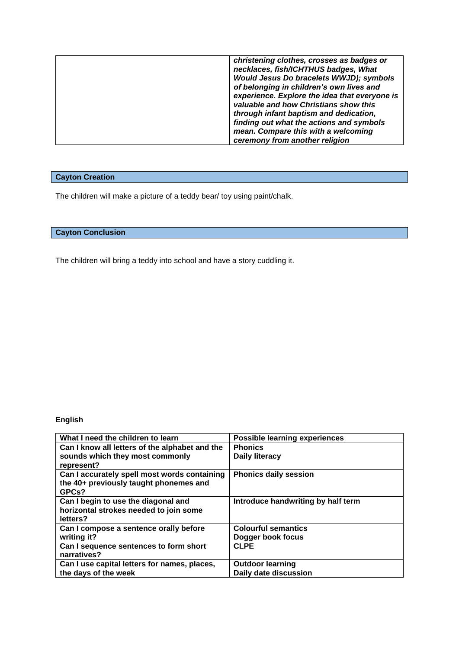|  | christening clothes, crosses as badges or<br>necklaces, fish/ICHTHUS badges, What<br>Would Jesus Do bracelets WWJD); symbols<br>of belonging in children's own lives and<br>experience. Explore the idea that everyone is<br>valuable and how Christians show this<br>through infant baptism and dedication,<br>finding out what the actions and symbols<br>mean. Compare this with a welcoming<br>ceremony from another religion |
|--|-----------------------------------------------------------------------------------------------------------------------------------------------------------------------------------------------------------------------------------------------------------------------------------------------------------------------------------------------------------------------------------------------------------------------------------|
|--|-----------------------------------------------------------------------------------------------------------------------------------------------------------------------------------------------------------------------------------------------------------------------------------------------------------------------------------------------------------------------------------------------------------------------------------|

# **Cayton Creation**

The children will make a picture of a teddy bear/ toy using paint/chalk.

## **Cayton Conclusion**

The children will bring a teddy into school and have a story cuddling it.

# **English**

| What I need the children to learn              | <b>Possible learning experiences</b> |
|------------------------------------------------|--------------------------------------|
| Can I know all letters of the alphabet and the | <b>Phonics</b>                       |
| sounds which they most commonly                | <b>Daily literacy</b>                |
| represent?                                     |                                      |
| Can I accurately spell most words containing   | <b>Phonics daily session</b>         |
| the 40+ previously taught phonemes and         |                                      |
| GPCs?                                          |                                      |
| Can I begin to use the diagonal and            | Introduce handwriting by half term   |
| horizontal strokes needed to join some         |                                      |
| letters?                                       |                                      |
| Can I compose a sentence orally before         | <b>Colourful semantics</b>           |
| writing it?                                    | Dogger book focus                    |
| Can I sequence sentences to form short         | <b>CLPE</b>                          |
| narratives?                                    |                                      |
| Can I use capital letters for names, places,   | <b>Outdoor learning</b>              |
| the days of the week                           | Daily date discussion                |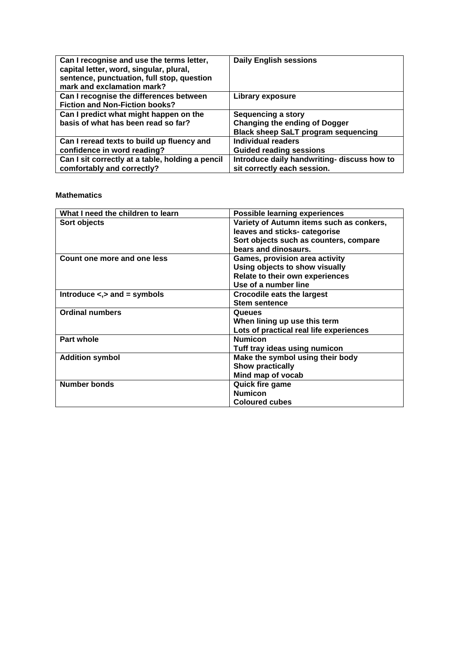| Can I recognise and use the terms letter,<br>capital letter, word, singular, plural,<br>sentence, punctuation, full stop, question<br>mark and exclamation mark? | <b>Daily English sessions</b>                                                                                   |
|------------------------------------------------------------------------------------------------------------------------------------------------------------------|-----------------------------------------------------------------------------------------------------------------|
| Can I recognise the differences between<br><b>Fiction and Non-Fiction books?</b>                                                                                 | Library exposure                                                                                                |
| Can I predict what might happen on the<br>basis of what has been read so far?                                                                                    | <b>Sequencing a story</b><br><b>Changing the ending of Dogger</b><br><b>Black sheep SaLT program sequencing</b> |
| Can I reread texts to build up fluency and<br>confidence in word reading?                                                                                        | <b>Individual readers</b><br><b>Guided reading sessions</b>                                                     |
| Can I sit correctly at a table, holding a pencil<br>comfortably and correctly?                                                                                   | Introduce daily handwriting- discuss how to<br>sit correctly each session.                                      |

#### **Mathematics**

| What I need the children to learn   | <b>Possible learning experiences</b>     |  |
|-------------------------------------|------------------------------------------|--|
| Sort objects                        | Variety of Autumn items such as conkers, |  |
|                                     | leaves and sticks- categorise            |  |
|                                     | Sort objects such as counters, compare   |  |
|                                     | bears and dinosaurs.                     |  |
| Count one more and one less         | <b>Games, provision area activity</b>    |  |
|                                     | Using objects to show visually           |  |
|                                     | Relate to their own experiences          |  |
|                                     | Use of a number line                     |  |
| Introduce $\leq, >$ and $=$ symbols | <b>Crocodile eats the largest</b>        |  |
|                                     | <b>Stem sentence</b>                     |  |
| <b>Ordinal numbers</b>              | Queues                                   |  |
|                                     | When lining up use this term             |  |
|                                     | Lots of practical real life experiences  |  |
| <b>Part whole</b>                   | <b>Numicon</b>                           |  |
|                                     | Tuff tray ideas using numicon            |  |
| <b>Addition symbol</b>              | Make the symbol using their body         |  |
|                                     | <b>Show practically</b>                  |  |
|                                     | Mind map of vocab                        |  |
| <b>Number bonds</b>                 | Quick fire game                          |  |
|                                     | <b>Numicon</b>                           |  |
|                                     | <b>Coloured cubes</b>                    |  |